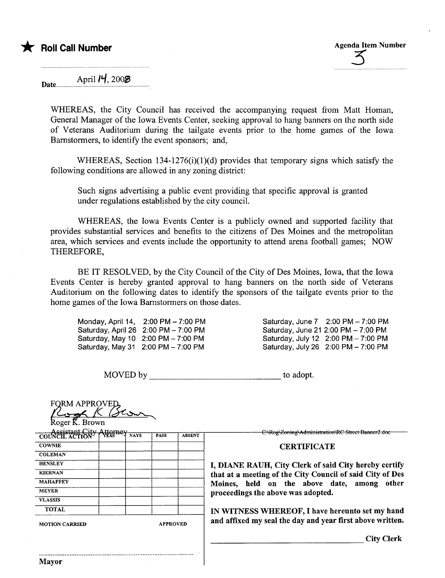Date.......... April  $\mu$ , 200 $\otimes$ 

WHEREAS, the City Council has received the accompanying request from Matt Homan, General Manager of the Iowa Events Center, seeking approval to hang banners on the north side of Veterans Auditorium during the tailgate events prior to the home games of the Iowa Barnstormers, to identify the event sponsors; and,

WHEREAS, Section 134-1276(i)(1)(d) provides that temporary signs which satisfy the following conditions are allowed in any zoning district:

Such signs advertising a public event providing that specific approval is granted under regulations established by the city counciL.

WHEREAS, the Iowa Events Center is a publicly owned and supported facility that provides substantial services and benefits to the citizens of Des Moines and the metropolitan area, which services and events include the opportunity to attend arena football games; NOW THEREFORE,

BE IT RESOLVED, by the City Council of the City of Des Moines, Iowa, that the Iowa Events Center is hereby granted approval to hang baners on the north side of Veterans Auditorium on the following dates to identify the sponsors of the tailgate events prior to the home games of the Iowa Barnstormers on those dates.

Monday, April 14, 2:00 PM - 7:00 PM Saturday, April 26 2:00 PM - 7:00 PM Saturday, May 10 2:00 PM - 7:00 PM Saturday, May 31 2:00 PM - 7:00 PM

Saturday, June 7 2:00 PM - 7:00 PM Saturday, June 21 2:00 PM - 7:00 PM Saturday, July 12 2:00 PM - 7:00 PM Saturday, July 26 2:00 PM - 7:00 PM

| MOVED by                                             |  |             |             |               | to adopt.                                                 |  |
|------------------------------------------------------|--|-------------|-------------|---------------|-----------------------------------------------------------|--|
| <b>FORM APPROVED</b><br>Roger K. Brown               |  |             |             |               |                                                           |  |
| <b>Assistant City Attor</b><br>COUNCIL ACTION   YESS |  | <b>NAYS</b> | <b>PASS</b> | <b>ABSENT</b> | C:\Rog\Zoning\Administration\RC Street Banner2 doe        |  |
| <b>COWNIE</b>                                        |  |             |             |               | <b>CERTIFICATE</b>                                        |  |
| <b>COLEMAN</b>                                       |  |             |             |               |                                                           |  |
| <b>HENSLEY</b>                                       |  |             |             |               | I, DIANE RAUH, City Clerk of said City hereby certify     |  |
| <b>KIERNAN</b>                                       |  |             |             |               | that at a meeting of the City Council of said City of Des |  |
| <b>MAHAFFEY</b>                                      |  |             |             |               | Moines, held on the above date, among other               |  |
| <b>MEYER</b>                                         |  |             |             |               | proceedings the above was adopted.                        |  |
| <b>VLASSIS</b>                                       |  |             |             |               |                                                           |  |
| <b>TOTAL</b>                                         |  |             |             |               | IN WITNESS WHEREOF, I have hereunto set my hand           |  |
| <b>APPROVED</b><br><b>MOTION CARRIED</b>             |  |             |             |               | and affixed my seal the day and year first above written. |  |
|                                                      |  |             |             |               | <b>City Clerk</b>                                         |  |
| <b>Mayor</b>                                         |  |             |             |               |                                                           |  |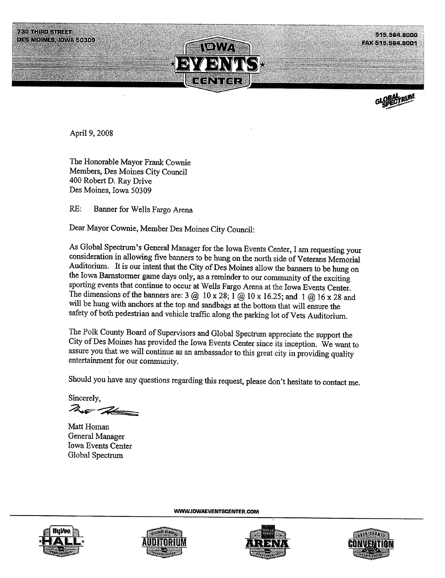



April 9, 2008

The Honorable Mayor Frank Cownie Members, Des Moines City Council 400 Robert D. Ray Drive Des Moines, Iowa 50309

RE: Banner for Wells Fargo Arena

Dear Mayor Cownie, Member Des Moines City Council:

As Global Spectrum's General Manager for the Iowa Events Center, I am requesting your consideration in allowing five baners to be hung on the north side of Veteras Memorial Auditorium. It is our intent that the City of Des Moines allow the baners to be hung on the Iowa Barstonner game days only, as a reminder to our community of the exciting sporting events that continue to occur at Wells Fargo Arena at the Iowa Events Center. The dimensions of the banners are: 3  $@$  10 x 28; 1  $@$  10 x 16.25; and 1  $@$  16 x 28 and will be hung with anchors at the top and sandbags at the bottom that will ensure the safety of both pedestrian and vehicle traffic along the parking lot of Vets Auditorium.

The Polk County Board of Supervisors and Global Spectrum appreciate the support the City of Des Moines has provided the Iowa Events Center since its inception. We want to assure you that we will continue as an ambassador to this great city in providing quality entertainment for our communty.

Should you have any questions regarding this request, please don't hesitate to contact me.

WW.IDWAEVENTSCENTER.COM

 $Sineerely,$ 

Matt Homan General Manager Iowa Events Center Global Spectr